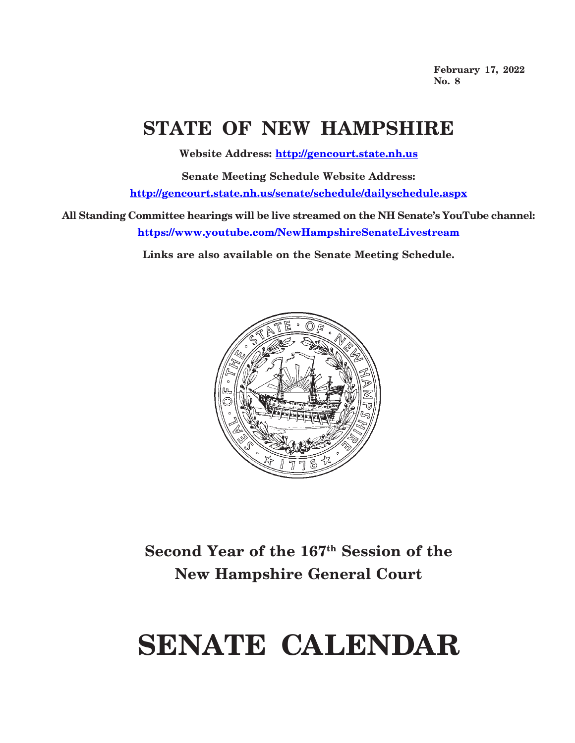**February 17, 2022 No. 8**

## **STATE OF NEW HAMPSHIRE**

**Website Address: http://gencourt.state.nh.us**

**Senate Meeting Schedule Website Address: http://gencourt.state.nh.us/senate/schedule/dailyschedule.aspx**

**All Standing Committee hearings will be live streamed on the NH Senate's YouTube channel: https://www.youtube.com/NewHampshireSenateLivestream**

**Links are also available on the Senate Meeting Schedule.**



## **Second Year of the 167th Session of the New Hampshire General Court**

# **SENATE CALENDAR**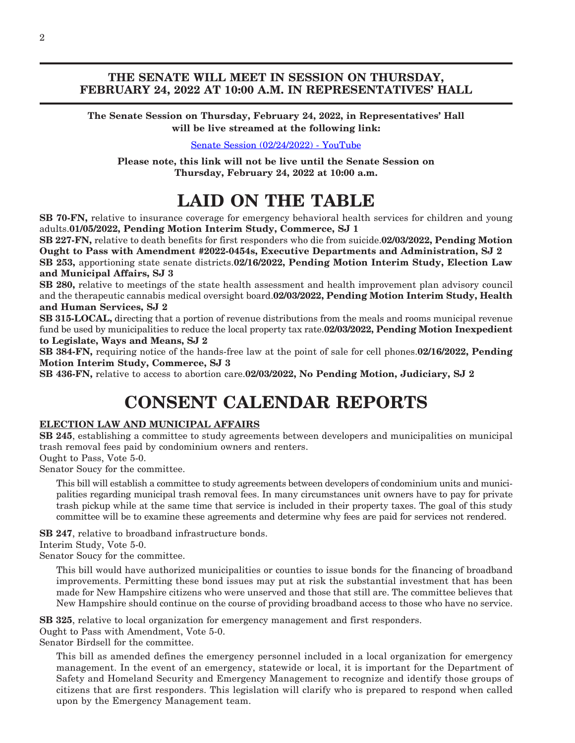### **THE SENATE WILL MEET IN SESSION ON THURSDAY, FEBRUARY 24, 2022 AT 10:00 A.M. IN REPRESENTATIVES' HALL**

**The Senate Session on Thursday, February 24, 2022, in Representatives' Hall will be live streamed at the following link:**

[Senate Session \(02/24/2022\) - YouTube](https://www.youtube.com/watch?v=_r51s9Js0DA)

**Please note, this link will not be live until the Senate Session on Thursday, February 24, 2022 at 10:00 a.m.**

## **LAID ON THE TABLE**

**SB 70-FN,** relative to insurance coverage for emergency behavioral health services for children and young adults.**01/05/2022, Pending Motion Interim Study, Commerce, SJ 1**

**SB 227-FN,** relative to death benefits for first responders who die from suicide.**02/03/2022, Pending Motion Ought to Pass with Amendment #2022-0454s, Executive Departments and Administration, SJ 2**

**SB 253,** apportioning state senate districts.**02/16/2022, Pending Motion Interim Study, Election Law and Municipal Affairs, SJ 3**

**SB 280,** relative to meetings of the state health assessment and health improvement plan advisory council and the therapeutic cannabis medical oversight board.**02/03/2022, Pending Motion Interim Study, Health and Human Services, SJ 2**

**SB 315-LOCAL,** directing that a portion of revenue distributions from the meals and rooms municipal revenue fund be used by municipalities to reduce the local property tax rate.**02/03/2022, Pending Motion Inexpedient to Legislate, Ways and Means, SJ 2**

**SB 384-FN,** requiring notice of the hands-free law at the point of sale for cell phones.**02/16/2022, Pending Motion Interim Study, Commerce, SJ 3**

**SB 436-FN,** relative to access to abortion care.**02/03/2022, No Pending Motion, Judiciary, SJ 2**

## **CONSENT CALENDAR REPORTS**

### **ELECTION LAW AND MUNICIPAL AFFAIRS**

**SB 245**, establishing a committee to study agreements between developers and municipalities on municipal trash removal fees paid by condominium owners and renters.

Ought to Pass, Vote 5-0.

Senator Soucy for the committee.

This bill will establish a committee to study agreements between developers of condominium units and municipalities regarding municipal trash removal fees. In many circumstances unit owners have to pay for private trash pickup while at the same time that service is included in their property taxes. The goal of this study committee will be to examine these agreements and determine why fees are paid for services not rendered.

**SB 247**, relative to broadband infrastructure bonds.

Interim Study, Vote 5-0.

Senator Soucy for the committee.

This bill would have authorized municipalities or counties to issue bonds for the financing of broadband improvements. Permitting these bond issues may put at risk the substantial investment that has been made for New Hampshire citizens who were unserved and those that still are. The committee believes that New Hampshire should continue on the course of providing broadband access to those who have no service.

**SB 325**, relative to local organization for emergency management and first responders.

Ought to Pass with Amendment, Vote 5-0.

Senator Birdsell for the committee.

This bill as amended defines the emergency personnel included in a local organization for emergency management. In the event of an emergency, statewide or local, it is important for the Department of Safety and Homeland Security and Emergency Management to recognize and identify those groups of citizens that are first responders. This legislation will clarify who is prepared to respond when called upon by the Emergency Management team.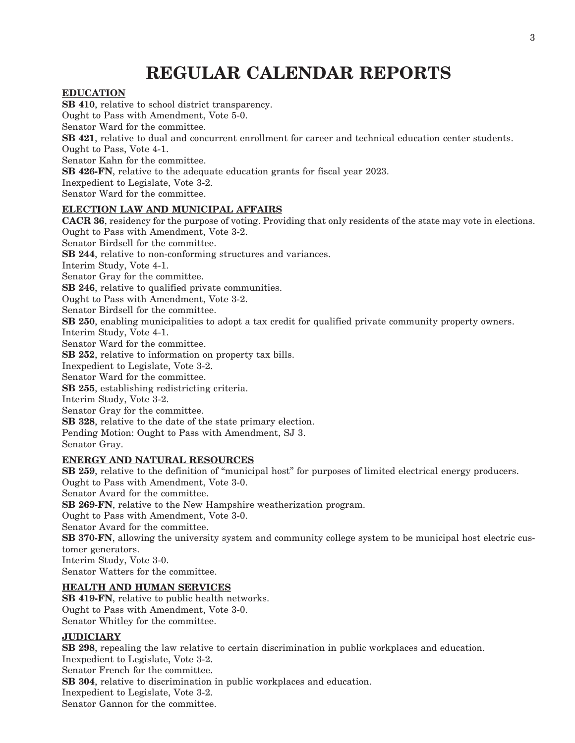## **REGULAR CALENDAR REPORTS**

### **EDUCATION**

**SB 410**, relative to school district transparency. Ought to Pass with Amendment, Vote 5-0. Senator Ward for the committee. **SB 421**, relative to dual and concurrent enrollment for career and technical education center students. Ought to Pass, Vote 4-1. Senator Kahn for the committee. **SB 426-FN**, relative to the adequate education grants for fiscal year 2023. Inexpedient to Legislate, Vote 3-2. Senator Ward for the committee.

### **ELECTION LAW AND MUNICIPAL AFFAIRS**

**CACR 36**, residency for the purpose of voting. Providing that only residents of the state may vote in elections. Ought to Pass with Amendment, Vote 3-2. Senator Birdsell for the committee. **SB 244**, relative to non-conforming structures and variances. Interim Study, Vote 4-1. Senator Gray for the committee. **SB 246**, relative to qualified private communities. Ought to Pass with Amendment, Vote 3-2. Senator Birdsell for the committee. **SB 250**, enabling municipalities to adopt a tax credit for qualified private community property owners. Interim Study, Vote 4-1. Senator Ward for the committee. **SB 252**, relative to information on property tax bills. Inexpedient to Legislate, Vote 3-2. Senator Ward for the committee. **SB 255**, establishing redistricting criteria. Interim Study, Vote 3-2. Senator Gray for the committee. **SB 328**, relative to the date of the state primary election. Pending Motion: Ought to Pass with Amendment, SJ 3. Senator Gray. **ENERGY AND NATURAL RESOURCES SB 259**, relative to the definition of "municipal host" for purposes of limited electrical energy producers. Ought to Pass with Amendment, Vote 3-0.

Senator Avard for the committee.

**SB 269-FN**, relative to the New Hampshire weatherization program.

Ought to Pass with Amendment, Vote 3-0.

Senator Avard for the committee.

**SB 370-FN**, allowing the university system and community college system to be municipal host electric customer generators.

Interim Study, Vote 3-0.

Senator Watters for the committee.

### **HEALTH AND HUMAN SERVICES**

**SB 419-FN**, relative to public health networks. Ought to Pass with Amendment, Vote 3-0. Senator Whitley for the committee.

### **JUDICIARY**

**SB 298**, repealing the law relative to certain discrimination in public workplaces and education. Inexpedient to Legislate, Vote 3-2. Senator French for the committee. **SB 304**, relative to discrimination in public workplaces and education. Inexpedient to Legislate, Vote 3-2. Senator Gannon for the committee.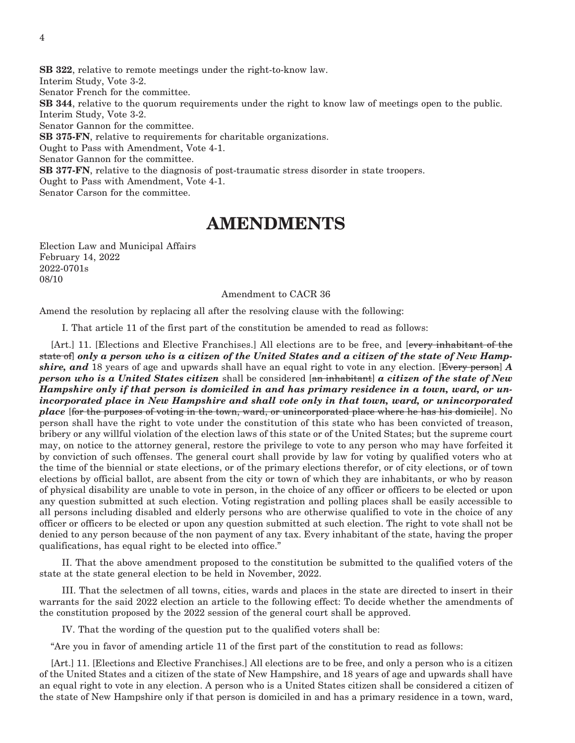**SB 322**, relative to remote meetings under the right-to-know law. Interim Study, Vote 3-2. Senator French for the committee. **SB 344**, relative to the quorum requirements under the right to know law of meetings open to the public. Interim Study, Vote 3-2. Senator Gannon for the committee. **SB 375-FN**, relative to requirements for charitable organizations. Ought to Pass with Amendment, Vote 4-1. Senator Gannon for the committee. **SB 377-FN**, relative to the diagnosis of post-traumatic stress disorder in state troopers. Ought to Pass with Amendment, Vote 4-1. Senator Carson for the committee.

### **AMENDMENTS**

Election Law and Municipal Affairs February 14, 2022 2022-0701s 08/10

#### Amendment to CACR 36

Amend the resolution by replacing all after the resolving clause with the following:

I. That article 11 of the first part of the constitution be amended to read as follows:

[Art.] 11. [Elections and Elective Franchises.] All elections are to be free, and [every inhabitant of the state of] *only a person who is a citizen of the United States and a citizen of the state of New Hampshire, and* 18 years of age and upwards shall have an equal right to vote in any election. [Every person] *A person who is a United States citizen* shall be considered [an inhabitant] *a citizen of the state of New Hampshire only if that person is domiciled in and has primary residence in a town, ward, or unincorporated place in New Hampshire and shall vote only in that town, ward, or unincorporated place* [for the purposes of voting in the town, ward, or unincorporated place where he has his domicile]. No person shall have the right to vote under the constitution of this state who has been convicted of treason, bribery or any willful violation of the election laws of this state or of the United States; but the supreme court may, on notice to the attorney general, restore the privilege to vote to any person who may have forfeited it by conviction of such offenses. The general court shall provide by law for voting by qualified voters who at the time of the biennial or state elections, or of the primary elections therefor, or of city elections, or of town elections by official ballot, are absent from the city or town of which they are inhabitants, or who by reason of physical disability are unable to vote in person, in the choice of any officer or officers to be elected or upon any question submitted at such election. Voting registration and polling places shall be easily accessible to all persons including disabled and elderly persons who are otherwise qualified to vote in the choice of any officer or officers to be elected or upon any question submitted at such election. The right to vote shall not be denied to any person because of the non payment of any tax. Every inhabitant of the state, having the proper qualifications, has equal right to be elected into office."

 II. That the above amendment proposed to the constitution be submitted to the qualified voters of the state at the state general election to be held in November, 2022.

 III. That the selectmen of all towns, cities, wards and places in the state are directed to insert in their warrants for the said 2022 election an article to the following effect: To decide whether the amendments of the constitution proposed by the 2022 session of the general court shall be approved.

IV. That the wording of the question put to the qualified voters shall be:

"Are you in favor of amending article 11 of the first part of the constitution to read as follows:

[Art.] 11. [Elections and Elective Franchises.] All elections are to be free, and only a person who is a citizen of the United States and a citizen of the state of New Hampshire, and 18 years of age and upwards shall have an equal right to vote in any election. A person who is a United States citizen shall be considered a citizen of the state of New Hampshire only if that person is domiciled in and has a primary residence in a town, ward,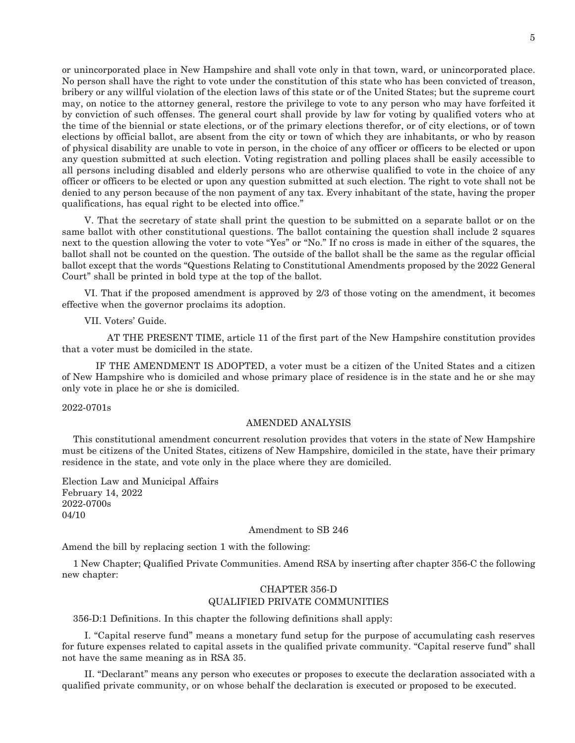or unincorporated place in New Hampshire and shall vote only in that town, ward, or unincorporated place. No person shall have the right to vote under the constitution of this state who has been convicted of treason, bribery or any willful violation of the election laws of this state or of the United States; but the supreme court may, on notice to the attorney general, restore the privilege to vote to any person who may have forfeited it by conviction of such offenses. The general court shall provide by law for voting by qualified voters who at the time of the biennial or state elections, or of the primary elections therefor, or of city elections, or of town elections by official ballot, are absent from the city or town of which they are inhabitants, or who by reason of physical disability are unable to vote in person, in the choice of any officer or officers to be elected or upon any question submitted at such election. Voting registration and polling places shall be easily accessible to all persons including disabled and elderly persons who are otherwise qualified to vote in the choice of any officer or officers to be elected or upon any question submitted at such election. The right to vote shall not be denied to any person because of the non payment of any tax. Every inhabitant of the state, having the proper qualifications, has equal right to be elected into office."

 V. That the secretary of state shall print the question to be submitted on a separate ballot or on the same ballot with other constitutional questions. The ballot containing the question shall include 2 squares next to the question allowing the voter to vote "Yes" or "No." If no cross is made in either of the squares, the ballot shall not be counted on the question. The outside of the ballot shall be the same as the regular official ballot except that the words "Questions Relating to Constitutional Amendments proposed by the 2022 General Court" shall be printed in bold type at the top of the ballot.

 VI. That if the proposed amendment is approved by 2/3 of those voting on the amendment, it becomes effective when the governor proclaims its adoption.

VII. Voters' Guide.

 AT THE PRESENT TIME, article 11 of the first part of the New Hampshire constitution provides that a voter must be domiciled in the state.

 IF THE AMENDMENT IS ADOPTED, a voter must be a citizen of the United States and a citizen of New Hampshire who is domiciled and whose primary place of residence is in the state and he or she may only vote in place he or she is domiciled.

2022-0701s

#### AMENDED ANALYSIS

This constitutional amendment concurrent resolution provides that voters in the state of New Hampshire must be citizens of the United States, citizens of New Hampshire, domiciled in the state, have their primary residence in the state, and vote only in the place where they are domiciled.

Election Law and Municipal Affairs February 14, 2022 2022-0700s 04/10

#### Amendment to SB 246

Amend the bill by replacing section 1 with the following:

1 New Chapter; Qualified Private Communities. Amend RSA by inserting after chapter 356-C the following new chapter:

### CHAPTER 356-D QUALIFIED PRIVATE COMMUNITIES

356-D:1 Definitions. In this chapter the following definitions shall apply:

 I. "Capital reserve fund" means a monetary fund setup for the purpose of accumulating cash reserves for future expenses related to capital assets in the qualified private community. "Capital reserve fund" shall not have the same meaning as in RSA 35.

 II. "Declarant" means any person who executes or proposes to execute the declaration associated with a qualified private community, or on whose behalf the declaration is executed or proposed to be executed.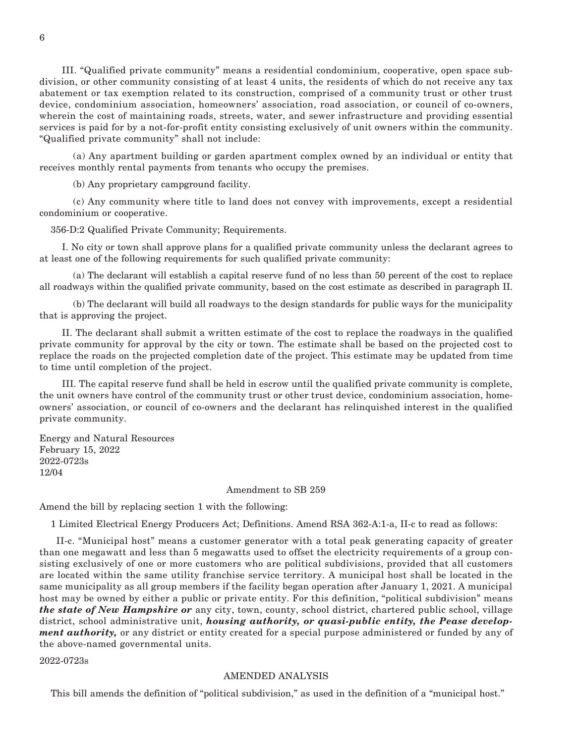III. "Qualified private community" means a residential condominium, cooperative, open space subdivision, or other community consisting of at least 4 units, the residents of which do not receive any tax abatement or tax exemption related to its construction, comprised of a community trust or other trust device, condominium association, homeowners' association, road association, or council of co-owners, wherein the cost of maintaining roads, streets, water, and sewer infrastructure and providing essential services is paid for by a not-for-profit entity consisting exclusively of unit owners within the community. "Qualified private community" shall not include:

 (a) Any apartment building or garden apartment complex owned by an individual or entity that receives monthly rental payments from tenants who occupy the premises.

(b) Any proprietary campground facility.

 (c) Any community where title to land does not convey with improvements, except a residential condominium or cooperative.

356-D:2 Qualified Private Community; Requirements.

 I. No city or town shall approve plans for a qualified private community unless the declarant agrees to at least one of the following requirements for such qualified private community:

 (a) The declarant will establish a capital reserve fund of no less than 50 percent of the cost to replace all roadways within the qualified private community, based on the cost estimate as described in paragraph II.

 (b) The declarant will build all roadways to the design standards for public ways for the municipality that is approving the project.

 II. The declarant shall submit a written estimate of the cost to replace the roadways in the qualified private community for approval by the city or town. The estimate shall be based on the projected cost to replace the roads on the projected completion date of the project. This estimate may be updated from time to time until completion of the project.

 III. The capital reserve fund shall be held in escrow until the qualified private community is complete, the unit owners have control of the community trust or other trust device, condominium association, homeowners' association, or council of co-owners and the declarant has relinquished interest in the qualified private community.

Energy and Natural Resources February 15, 2022 2022-0723s 12/04

Amendment to SB 259

Amend the bill by replacing section 1 with the following:

1 Limited Electrical Energy Producers Act; Definitions. Amend RSA 362-A:1-a, II-c to read as follows:

 II-c. "Municipal host" means a customer generator with a total peak generating capacity of greater than one megawatt and less than 5 megawatts used to offset the electricity requirements of a group consisting exclusively of one or more customers who are political subdivisions, provided that all customers are located within the same utility franchise service territory. A municipal host shall be located in the same municipality as all group members if the facility began operation after January 1, 2021. A municipal host may be owned by either a public or private entity. For this definition, "political subdivision" means *the state of New Hampshire or* any city, town, county, school district, chartered public school, village district, school administrative unit, *housing authority, or quasi-public entity, the Pease development authority,* or any district or entity created for a special purpose administered or funded by any of the above-named governmental units.

2022-0723s

#### AMENDED ANALYSIS

This bill amends the definition of "political subdivision," as used in the definition of a "municipal host."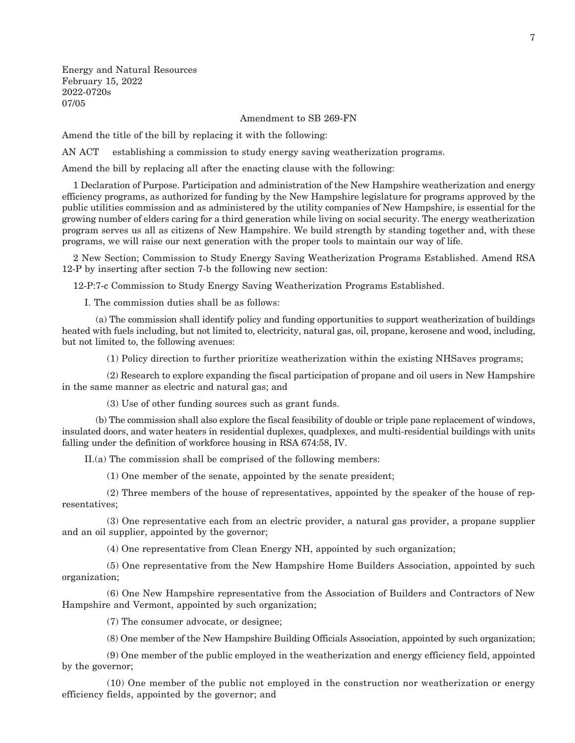Energy and Natural Resources February 15, 2022 2022-0720s 07/05

Amendment to SB 269-FN

Amend the title of the bill by replacing it with the following:

AN ACT establishing a commission to study energy saving weatherization programs.

Amend the bill by replacing all after the enacting clause with the following:

1 Declaration of Purpose. Participation and administration of the New Hampshire weatherization and energy efficiency programs, as authorized for funding by the New Hampshire legislature for programs approved by the public utilities commission and as administered by the utility companies of New Hampshire, is essential for the growing number of elders caring for a third generation while living on social security. The energy weatherization program serves us all as citizens of New Hampshire. We build strength by standing together and, with these programs, we will raise our next generation with the proper tools to maintain our way of life.

2 New Section; Commission to Study Energy Saving Weatherization Programs Established. Amend RSA 12-P by inserting after section 7-b the following new section:

12-P:7-c Commission to Study Energy Saving Weatherization Programs Established.

I. The commission duties shall be as follows:

 (a) The commission shall identify policy and funding opportunities to support weatherization of buildings heated with fuels including, but not limited to, electricity, natural gas, oil, propane, kerosene and wood, including, but not limited to, the following avenues:

(1) Policy direction to further prioritize weatherization within the existing NHSaves programs;

 (2) Research to explore expanding the fiscal participation of propane and oil users in New Hampshire in the same manner as electric and natural gas; and

(3) Use of other funding sources such as grant funds.

 (b) The commission shall also explore the fiscal feasibility of double or triple pane replacement of windows, insulated doors, and water heaters in residential duplexes, quadplexes, and multi-residential buildings with units falling under the definition of workforce housing in RSA 674:58, IV.

II.(a) The commission shall be comprised of the following members:

(1) One member of the senate, appointed by the senate president;

 (2) Three members of the house of representatives, appointed by the speaker of the house of representatives;

 (3) One representative each from an electric provider, a natural gas provider, a propane supplier and an oil supplier, appointed by the governor;

(4) One representative from Clean Energy NH, appointed by such organization;

 (5) One representative from the New Hampshire Home Builders Association, appointed by such organization;

 (6) One New Hampshire representative from the Association of Builders and Contractors of New Hampshire and Vermont, appointed by such organization;

(7) The consumer advocate, or designee;

(8) One member of the New Hampshire Building Officials Association, appointed by such organization;

 (9) One member of the public employed in the weatherization and energy efficiency field, appointed by the governor;

 (10) One member of the public not employed in the construction nor weatherization or energy efficiency fields, appointed by the governor; and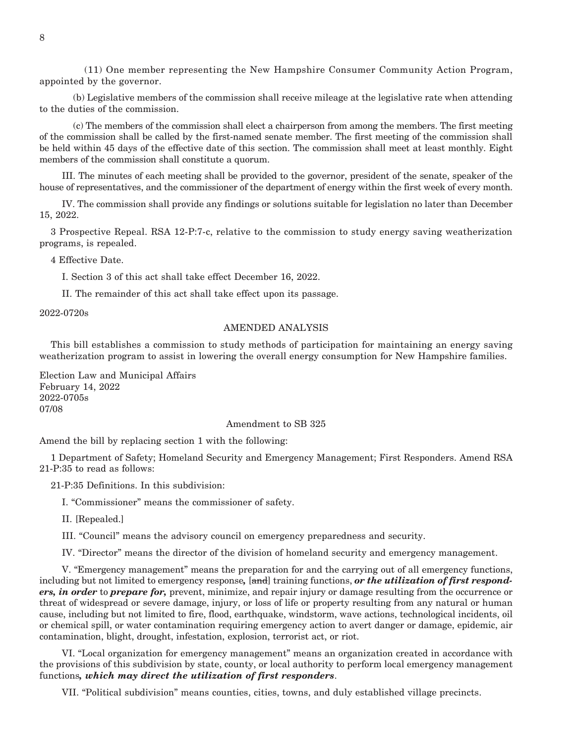(11) One member representing the New Hampshire Consumer Community Action Program, appointed by the governor.

 (b) Legislative members of the commission shall receive mileage at the legislative rate when attending to the duties of the commission.

 (c) The members of the commission shall elect a chairperson from among the members. The first meeting of the commission shall be called by the first-named senate member. The first meeting of the commission shall be held within 45 days of the effective date of this section. The commission shall meet at least monthly. Eight members of the commission shall constitute a quorum.

 III. The minutes of each meeting shall be provided to the governor, president of the senate, speaker of the house of representatives, and the commissioner of the department of energy within the first week of every month.

 IV. The commission shall provide any findings or solutions suitable for legislation no later than December 15, 2022.

3 Prospective Repeal. RSA 12-P:7-c, relative to the commission to study energy saving weatherization programs, is repealed.

4 Effective Date.

I. Section 3 of this act shall take effect December 16, 2022.

II. The remainder of this act shall take effect upon its passage.

2022-0720s

#### AMENDED ANALYSIS

This bill establishes a commission to study methods of participation for maintaining an energy saving weatherization program to assist in lowering the overall energy consumption for New Hampshire families.

Election Law and Municipal Affairs February 14, 2022 2022-0705s 07/08

#### Amendment to SB 325

Amend the bill by replacing section 1 with the following:

1 Department of Safety; Homeland Security and Emergency Management; First Responders. Amend RSA 21-P:35 to read as follows:

21-P:35 Definitions. In this subdivision:

I. "Commissioner" means the commissioner of safety.

II. [Repealed.]

III. "Council" means the advisory council on emergency preparedness and security.

IV. "Director" means the director of the division of homeland security and emergency management.

 V. "Emergency management" means the preparation for and the carrying out of all emergency functions, including but not limited to emergency response*,* [and] training functions, *or the utilization of first responders, in order* to *prepare for,* prevent, minimize, and repair injury or damage resulting from the occurrence or threat of widespread or severe damage, injury, or loss of life or property resulting from any natural or human cause, including but not limited to fire, flood, earthquake, windstorm, wave actions, technological incidents, oil or chemical spill, or water contamination requiring emergency action to avert danger or damage, epidemic, air contamination, blight, drought, infestation, explosion, terrorist act, or riot.

 VI. "Local organization for emergency management" means an organization created in accordance with the provisions of this subdivision by state, county, or local authority to perform local emergency management functions*, which may direct the utilization of first responders*.

VII. "Political subdivision" means counties, cities, towns, and duly established village precincts.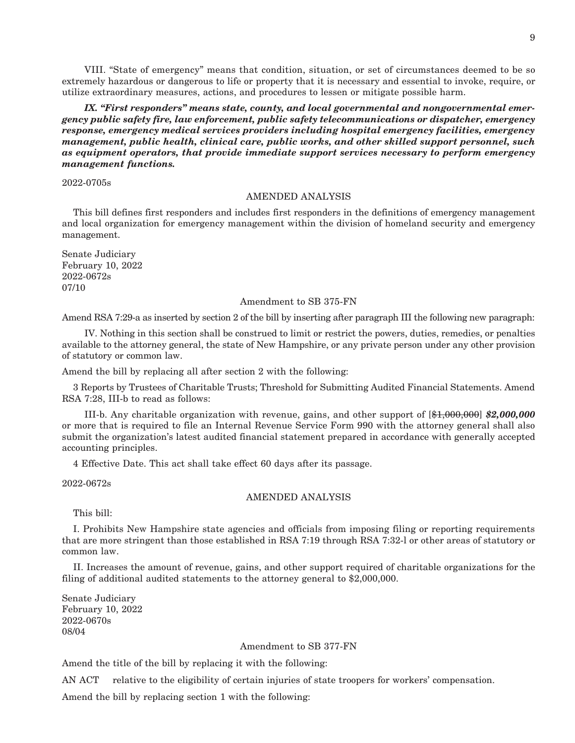VIII. "State of emergency" means that condition, situation, or set of circumstances deemed to be so extremely hazardous or dangerous to life or property that it is necessary and essential to invoke, require, or utilize extraordinary measures, actions, and procedures to lessen or mitigate possible harm.

 *IX. "First responders" means state, county, and local governmental and nongovernmental emergency public safety fire, law enforcement, public safety telecommunications or dispatcher, emergency response, emergency medical services providers including hospital emergency facilities, emergency management, public health, clinical care, public works, and other skilled support personnel, such as equipment operators, that provide immediate support services necessary to perform emergency management functions.*

2022-0705s

#### AMENDED ANALYSIS

This bill defines first responders and includes first responders in the definitions of emergency management and local organization for emergency management within the division of homeland security and emergency management.

Senate Judiciary February 10, 2022 2022-0672s 07/10

#### Amendment to SB 375-FN

Amend RSA 7:29-a as inserted by section 2 of the bill by inserting after paragraph III the following new paragraph:

 IV. Nothing in this section shall be construed to limit or restrict the powers, duties, remedies, or penalties available to the attorney general, the state of New Hampshire, or any private person under any other provision of statutory or common law.

Amend the bill by replacing all after section 2 with the following:

3 Reports by Trustees of Charitable Trusts; Threshold for Submitting Audited Financial Statements. Amend RSA 7:28, III-b to read as follows:

 III-b. Any charitable organization with revenue, gains, and other support of [\$1,000,000] *\$2,000,000* or more that is required to file an Internal Revenue Service Form 990 with the attorney general shall also submit the organization's latest audited financial statement prepared in accordance with generally accepted accounting principles.

4 Effective Date. This act shall take effect 60 days after its passage.

2022-0672s

#### AMENDED ANALYSIS

This bill:

I. Prohibits New Hampshire state agencies and officials from imposing filing or reporting requirements that are more stringent than those established in RSA 7:19 through RSA 7:32-l or other areas of statutory or common law.

II. Increases the amount of revenue, gains, and other support required of charitable organizations for the filing of additional audited statements to the attorney general to \$2,000,000.

Senate Judiciary February 10, 2022 2022-0670s 08/04

#### Amendment to SB 377-FN

Amend the title of the bill by replacing it with the following:

AN ACT relative to the eligibility of certain injuries of state troopers for workers' compensation.

Amend the bill by replacing section 1 with the following: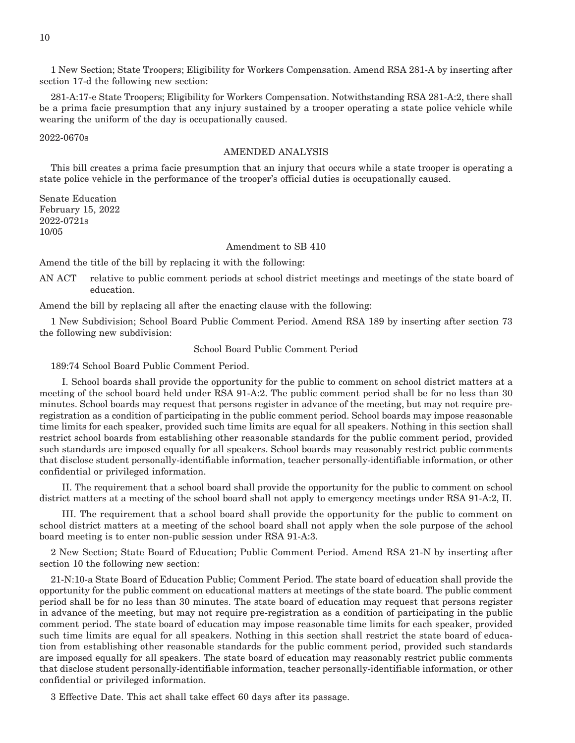1 New Section; State Troopers; Eligibility for Workers Compensation. Amend RSA 281-A by inserting after section 17-d the following new section:

281-A:17-e State Troopers; Eligibility for Workers Compensation. Notwithstanding RSA 281-A:2, there shall be a prima facie presumption that any injury sustained by a trooper operating a state police vehicle while wearing the uniform of the day is occupationally caused.

2022-0670s

#### AMENDED ANALYSIS

This bill creates a prima facie presumption that an injury that occurs while a state trooper is operating a state police vehicle in the performance of the trooper's official duties is occupationally caused.

Senate Education February 15, 2022 2022-0721s 10/05

#### Amendment to SB 410

Amend the title of the bill by replacing it with the following:

AN ACT relative to public comment periods at school district meetings and meetings of the state board of education.

Amend the bill by replacing all after the enacting clause with the following:

1 New Subdivision; School Board Public Comment Period. Amend RSA 189 by inserting after section 73 the following new subdivision:

#### School Board Public Comment Period

189:74 School Board Public Comment Period.

 I. School boards shall provide the opportunity for the public to comment on school district matters at a meeting of the school board held under RSA 91-A:2. The public comment period shall be for no less than 30 minutes. School boards may request that persons register in advance of the meeting, but may not require preregistration as a condition of participating in the public comment period. School boards may impose reasonable time limits for each speaker, provided such time limits are equal for all speakers. Nothing in this section shall restrict school boards from establishing other reasonable standards for the public comment period, provided such standards are imposed equally for all speakers. School boards may reasonably restrict public comments that disclose student personally-identifiable information, teacher personally-identifiable information, or other confidential or privileged information.

 II. The requirement that a school board shall provide the opportunity for the public to comment on school district matters at a meeting of the school board shall not apply to emergency meetings under RSA 91-A:2, II.

 III. The requirement that a school board shall provide the opportunity for the public to comment on school district matters at a meeting of the school board shall not apply when the sole purpose of the school board meeting is to enter non-public session under RSA 91-A:3.

2 New Section; State Board of Education; Public Comment Period. Amend RSA 21-N by inserting after section 10 the following new section:

21-N:10-a State Board of Education Public; Comment Period. The state board of education shall provide the opportunity for the public comment on educational matters at meetings of the state board. The public comment period shall be for no less than 30 minutes. The state board of education may request that persons register in advance of the meeting, but may not require pre-registration as a condition of participating in the public comment period. The state board of education may impose reasonable time limits for each speaker, provided such time limits are equal for all speakers. Nothing in this section shall restrict the state board of education from establishing other reasonable standards for the public comment period, provided such standards are imposed equally for all speakers. The state board of education may reasonably restrict public comments that disclose student personally-identifiable information, teacher personally-identifiable information, or other confidential or privileged information.

3 Effective Date. This act shall take effect 60 days after its passage.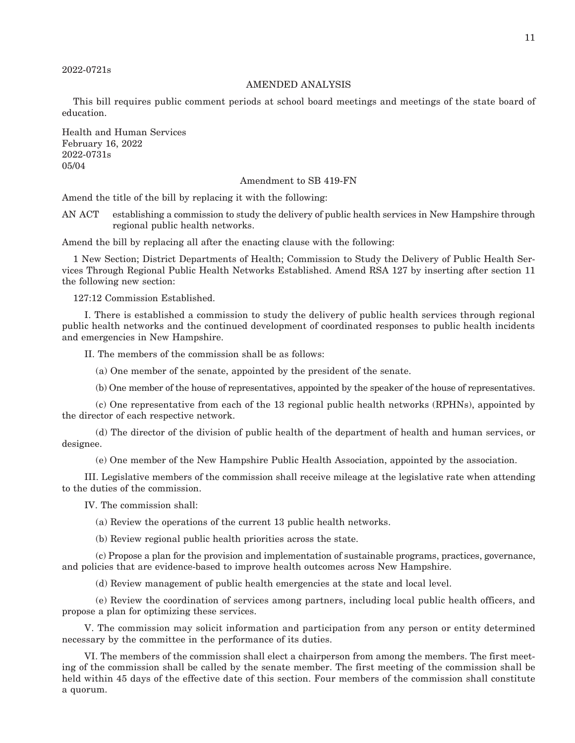2022-0721s

#### AMENDED ANALYSIS

This bill requires public comment periods at school board meetings and meetings of the state board of education.

Health and Human Services February 16, 2022 2022-0731s 05/04

#### Amendment to SB 419-FN

Amend the title of the bill by replacing it with the following:

AN ACT establishing a commission to study the delivery of public health services in New Hampshire through regional public health networks.

Amend the bill by replacing all after the enacting clause with the following:

1 New Section; District Departments of Health; Commission to Study the Delivery of Public Health Services Through Regional Public Health Networks Established. Amend RSA 127 by inserting after section 11 the following new section:

127:12 Commission Established.

 I. There is established a commission to study the delivery of public health services through regional public health networks and the continued development of coordinated responses to public health incidents and emergencies in New Hampshire.

II. The members of the commission shall be as follows:

(a) One member of the senate, appointed by the president of the senate.

(b) One member of the house of representatives, appointed by the speaker of the house of representatives.

 (c) One representative from each of the 13 regional public health networks (RPHNs), appointed by the director of each respective network.

 (d) The director of the division of public health of the department of health and human services, or designee.

(e) One member of the New Hampshire Public Health Association, appointed by the association.

 III. Legislative members of the commission shall receive mileage at the legislative rate when attending to the duties of the commission.

IV. The commission shall:

(a) Review the operations of the current 13 public health networks.

(b) Review regional public health priorities across the state.

 (c) Propose a plan for the provision and implementation of sustainable programs, practices, governance, and policies that are evidence-based to improve health outcomes across New Hampshire.

(d) Review management of public health emergencies at the state and local level.

 (e) Review the coordination of services among partners, including local public health officers, and propose a plan for optimizing these services.

 V. The commission may solicit information and participation from any person or entity determined necessary by the committee in the performance of its duties.

 VI. The members of the commission shall elect a chairperson from among the members. The first meeting of the commission shall be called by the senate member. The first meeting of the commission shall be held within 45 days of the effective date of this section. Four members of the commission shall constitute a quorum.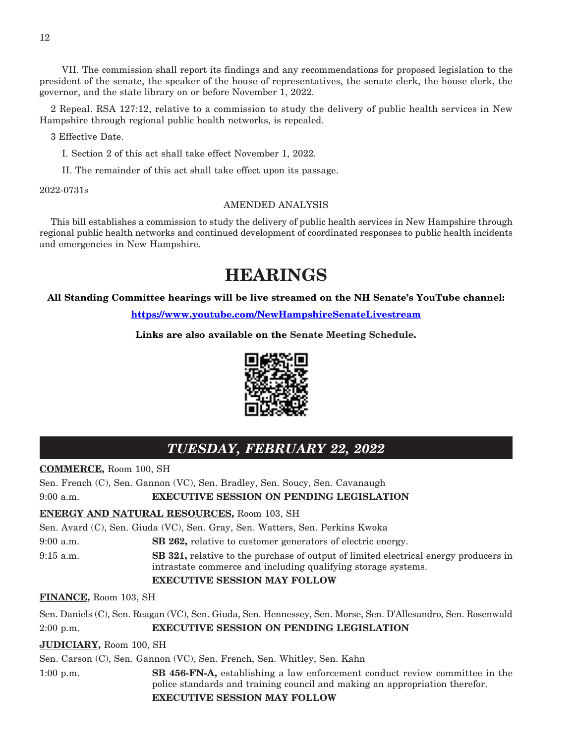VII. The commission shall report its findings and any recommendations for proposed legislation to the president of the senate, the speaker of the house of representatives, the senate clerk, the house clerk, the governor, and the state library on or before November 1, 2022.

2 Repeal. RSA 127:12, relative to a commission to study the delivery of public health services in New Hampshire through regional public health networks, is repealed.

3 Effective Date.

I. Section 2 of this act shall take effect November 1, 2022.

II. The remainder of this act shall take effect upon its passage.

2022-0731s

#### AMENDED ANALYSIS

This bill establishes a commission to study the delivery of public health services in New Hampshire through regional public health networks and continued development of coordinated responses to public health incidents and emergencies in New Hampshire.

## **HEARINGS**

**All Standing Committee hearings will be live streamed on the NH Senate's YouTube channel:**

**<https://www.youtube.com/NewHampshireSenateLivestream>**

**Links are also available on the Senate Meeting Schedule.**



### *TUESDAY, FEBRUARY 22, 2022*

**COMMERCE,** Room 100, SH

Sen. French (C), Sen. Gannon (VC), Sen. Bradley, Sen. Soucy, Sen. Cavanaugh

9:00 a.m. **EXECUTIVE SESSION ON PENDING LEGISLATION**

#### **ENERGY AND NATURAL RESOURCES,** Room 103, SH

Sen. Avard (C), Sen. Giuda (VC), Sen. Gray, Sen. Watters, Sen. Perkins Kwoka

9:00 a.m. **SB 262,** relative to customer generators of electric energy.

9:15 a.m. **SB 321,** relative to the purchase of output of limited electrical energy producers in intrastate commerce and including qualifying storage systems.

#### **EXECUTIVE SESSION MAY FOLLOW**

**FINANCE,** Room 103, SH

Sen. Daniels (C), Sen. Reagan (VC), Sen. Giuda, Sen. Hennessey, Sen. Morse, Sen. D'Allesandro, Sen. Rosenwald 2:00 p.m. **EXECUTIVE SESSION ON PENDING LEGISLATION**

#### **JUDICIARY,** Room 100, SH

Sen. Carson (C), Sen. Gannon (VC), Sen. French, Sen. Whitley, Sen. Kahn

1:00 p.m. **SB 456-FN-A,** establishing a law enforcement conduct review committee in the police standards and training council and making an appropriation therefor. **EXECUTIVE SESSION MAY FOLLOW**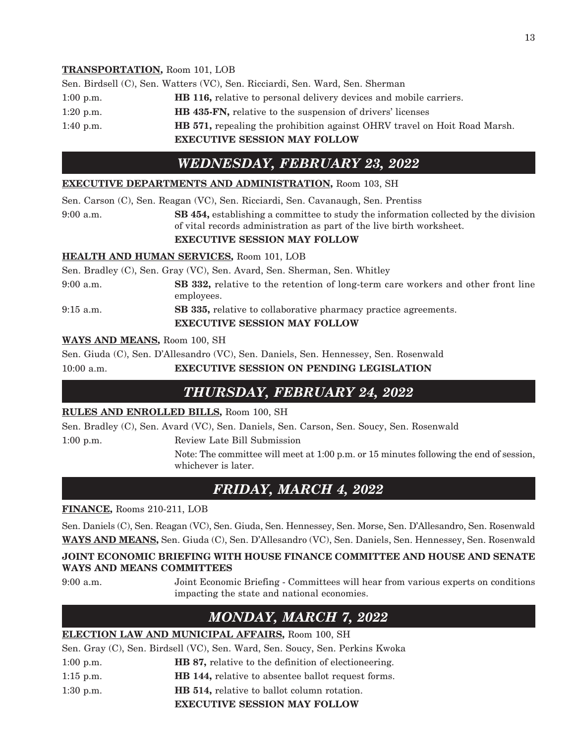### **TRANSPORTATION,** Room 101, LOB

|             | Sen. Birdsell (C), Sen. Watters (VC), Sen. Ricciardi, Sen. Ward, Sen. Sherman    |
|-------------|----------------------------------------------------------------------------------|
| $1:00$ p.m. | <b>HB 116, relative to personal delivery devices and mobile carriers.</b>        |
| $1:20$ p.m. | <b>HB 435-FN, relative to the suspension of drivers' licenses</b>                |
| 1:40 p.m.   | <b>HB</b> 571, repealing the prohibition against OHRV travel on Hoit Road Marsh. |
|             | <b>EXECUTIVE SESSION MAY FOLLOW</b>                                              |

### *WEDNESDAY, FEBRUARY 23, 2022*

### **EXECUTIVE DEPARTMENTS AND ADMINISTRATION,** Room 103, SH

Sen. Carson (C), Sen. Reagan (VC), Sen. Ricciardi, Sen. Cavanaugh, Sen. Prentiss

9:00 a.m. **SB 454,** establishing a committee to study the information collected by the division of vital records administration as part of the live birth worksheet.

### **EXECUTIVE SESSION MAY FOLLOW**

### **HEALTH AND HUMAN SERVICES,** Room 101, LOB

|             | Sen. Bradley (C), Sen. Gray (VC), Sen. Avard, Sen. Sherman, Sen. Whitley                                      |
|-------------|---------------------------------------------------------------------------------------------------------------|
| $9:00$ a.m. | SB 332, relative to the retention of long-term care workers and other front line<br>employees.                |
| $9:15$ a.m. | <b>SB 335, relative to collaborative pharmacy practice agreements.</b><br><b>EXECUTIVE SESSION MAY FOLLOW</b> |

### **WAYS AND MEANS,** Room 100, SH

Sen. Giuda (C), Sen. D'Allesandro (VC), Sen. Daniels, Sen. Hennessey, Sen. Rosenwald

10:00 a.m. **EXECUTIVE SESSION ON PENDING LEGISLATION**

### *THURSDAY, FEBRUARY 24, 2022*

### **RULES AND ENROLLED BILLS,** Room 100, SH

Sen. Bradley (C), Sen. Avard (VC), Sen. Daniels, Sen. Carson, Sen. Soucy, Sen. Rosenwald

1:00 p.m. Review Late Bill Submission

Note: The committee will meet at 1:00 p.m. or 15 minutes following the end of session, whichever is later.

### *FRIDAY, MARCH 4, 2022*

### **FINANCE,** Rooms 210-211, LOB

Sen. Daniels (C), Sen. Reagan (VC), Sen. Giuda, Sen. Hennessey, Sen. Morse, Sen. D'Allesandro, Sen. Rosenwald **WAYS AND MEANS,** Sen. Giuda (C), Sen. D'Allesandro (VC), Sen. Daniels, Sen. Hennessey, Sen. Rosenwald

### **JOINT ECONOMIC BRIEFING WITH HOUSE FINANCE COMMITTEE AND HOUSE AND SENATE WAYS AND MEANS COMMITTEES**

9:00 a.m. Joint Economic Briefing - Committees will hear from various experts on conditions impacting the state and national economies.

### *MONDAY, MARCH 7, 2022*

### **ELECTION LAW AND MUNICIPAL AFFAIRS,** Room 100, SH

Sen. Gray (C), Sen. Birdsell (VC), Sen. Ward, Sen. Soucy, Sen. Perkins Kwoka

- 1:00 p.m. **HB 87,** relative to the definition of electioneering.
- 1:15 p.m. **HB 144,** relative to absentee ballot request forms.
- 1:30 p.m. **HB 514,** relative to ballot column rotation.

**EXECUTIVE SESSION MAY FOLLOW**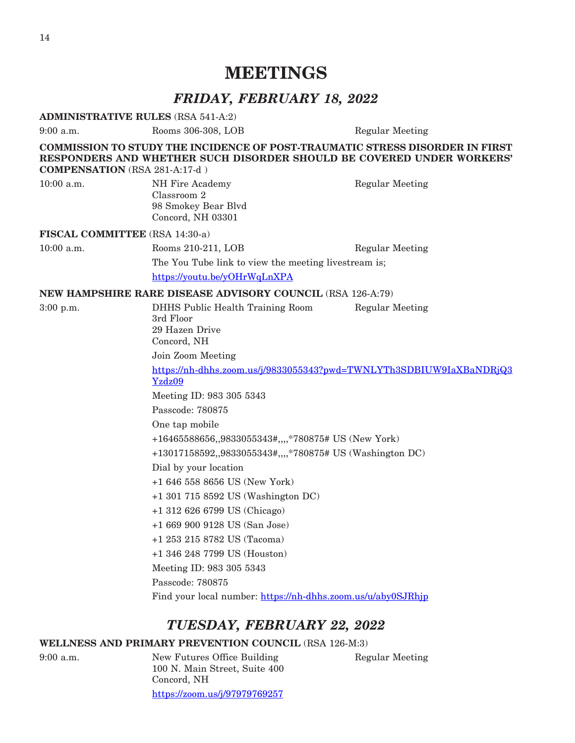## **MEETINGS**

### *FRIDAY, FEBRUARY 18, 2022*

**ADMINISTRATIVE RULES** (RSA 541-A:2)

9:00 a.m. Rooms 306-308, LOB Regular Meeting

**COMMISSION TO STUDY THE INCIDENCE OF POST-TRAUMATIC STRESS DISORDER IN FIRST RESPONDERS AND WHETHER SUCH DISORDER SHOULD BE COVERED UNDER WORKERS' COMPENSATION** (RSA 281-A:17-d )

| $10:00$ a.m.                   | NH Fire Academy<br>Classroom 2<br>98 Smokey Bear Blvd<br>Concord, NH 03301     | <b>Regular Meeting</b> |  |
|--------------------------------|--------------------------------------------------------------------------------|------------------------|--|
| FISCAL COMMITTEE (RSA 14:30-a) |                                                                                |                        |  |
| 10:00 a.m.                     | Rooms 210-211, LOB                                                             | <b>Regular Meeting</b> |  |
|                                | The You Tube link to view the meeting livestream is;                           |                        |  |
|                                | https://youtu.be/yOHrWqLnXPA                                                   |                        |  |
|                                | NEW HAMPSHIRE RARE DISEASE ADVISORY COUNCIL (RSA 126-A:79)                     |                        |  |
| $3:00$ p.m.                    | DHHS Public Health Training Room<br>3rd Floor<br>29 Hazen Drive<br>Concord, NH | <b>Regular Meeting</b> |  |
|                                | Join Zoom Meeting                                                              |                        |  |
|                                | https://nh-dhhs.zoom.us/j/9833055343?pwd=TWNLYTh3SDBIUW9IaXBaNDRjQ3<br>Yzdz09  |                        |  |
|                                | Meeting ID: 983 305 5343                                                       |                        |  |
|                                | Passcode: 780875                                                               |                        |  |
|                                | One tap mobile                                                                 |                        |  |
|                                | +16465588656,,9833055343#,,,,*780875# US (New York)                            |                        |  |
|                                | +13017158592,,9833055343#,,,,*780875# US (Washington DC)                       |                        |  |
|                                | Dial by your location                                                          |                        |  |
|                                | $+16465588656$ US (New York)                                                   |                        |  |
|                                | $+1$ 301 $715$ 8592 US (Washington DC)                                         |                        |  |
|                                | +1 312 626 6799 US (Chicago)                                                   |                        |  |
|                                | +1 669 900 9128 US (San Jose)                                                  |                        |  |
|                                | +1 253 215 8782 US (Tacoma)                                                    |                        |  |
|                                | +1 346 248 7799 US (Houston)                                                   |                        |  |
|                                | Meeting ID: 983 305 5343                                                       |                        |  |
|                                | Passcode: 780875                                                               |                        |  |
|                                | Find your local number: https://nh-dhhs.zoom.us/u/aby0SJRhjp                   |                        |  |
|                                | TUESDAY, FEBRUARY 22, 2022                                                     |                        |  |

### **WELLNESS AND PRIMARY PREVENTION COUNCIL** (RSA 126-M:3)

9:00 a.m. New Futures Office Building Regular Meeting 100 N. Main Street, Suite 400 Concord, NH [https://zoom.us/j/97979769257](https://urldefense.com/v3/__https:/zoom.us/j/97979769257__;!!Oai6dtTQULp8Sw!BVC9t65oW5Fs2BqQHCrzQFZCuwCmECGq8-Q-Cl1I-_XOieCwIa3_tejxp-hnU6nRdcNgmA$)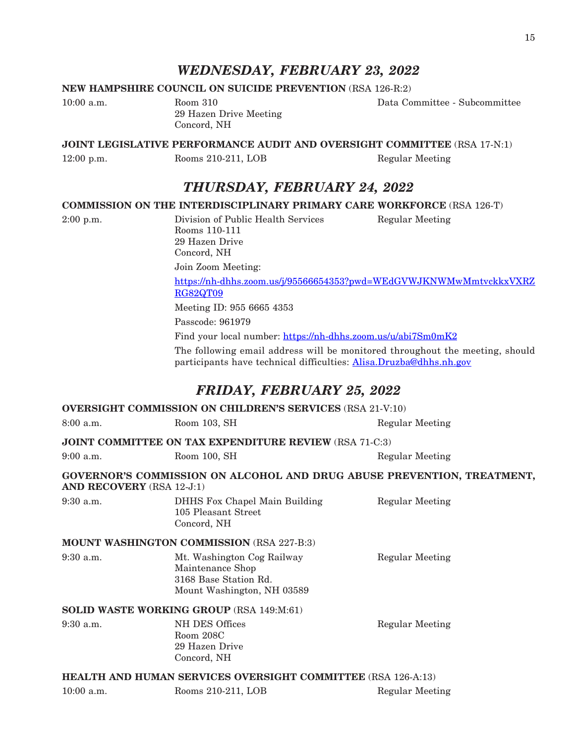### *WEDNESDAY, FEBRUARY 23, 2022*

### **NEW HAMPSHIRE COUNCIL ON SUICIDE PREVENTION** (RSA 126-R:2)

10:00 a.m. Room 310 Data Committee - Subcommittee 29 Hazen Drive Meeting Concord, NH

#### **JOINT LEGISLATIVE PERFORMANCE AUDIT AND OVERSIGHT COMMITTEE** (RSA 17-N:1)

12:00 p.m. Rooms 210-211, LOB Regular Meeting

### *THURSDAY, FEBRUARY 24, 2022*

#### **COMMISSION ON THE INTERDISCIPLINARY PRIMARY CARE WORKFORCE** (RSA 126-T)

2:00 p.m. Division of Public Health Services Regular Meeting Rooms 110-111 29 Hazen Drive Concord, NH

Join Zoom Meeting:

[https://nh-dhhs.zoom.us/j/95566654353?pwd=WEdGVWJKNWMwMmtvckkxVXRZ](https://nh-dhhs.zoom.us/j/95566654353?pwd=WEdGVWJKNWMwMmtvckkxVXRZRG82QT09) [RG82QT09](https://nh-dhhs.zoom.us/j/95566654353?pwd=WEdGVWJKNWMwMmtvckkxVXRZRG82QT09)

Meeting ID: 955 6665 4353

Passcode: 961979

Find your local number: <https://nh-dhhs.zoom.us/u/abi7Sm0mK2>

The following email address will be monitored throughout the meeting, should participants have technical difficulties: [Alisa.Druzba@dhhs.nh.gov](mailto:Alisa.Druzba@dhhs.nh.gov)

### *FRIDAY, FEBRUARY 25, 2022*

### **OVERSIGHT COMMISSION ON CHILDREN'S SERVICES** (RSA 21-V:10) 8:00 a.m. Room 103, SH Regular Meeting **JOINT COMMITTEE ON TAX EXPENDITURE REVIEW** (RSA 71-C:3) 9:00 a.m. Room 100, SH Regular Meeting **GOVERNOR'S COMMISSION ON ALCOHOL AND DRUG ABUSE PREVENTION, TREATMENT, AND RECOVERY** (RSA 12-J:1) 9:30 a.m. DHHS Fox Chapel Main Building Regular Meeting 105 Pleasant Street Concord, NH **MOUNT WASHINGTON COMMISSION** (RSA 227-B:3) 9:30 a.m. Mt. Washington Cog Railway Regular Meeting Maintenance Shop 3168 Base Station Rd. Mount Washington, NH 03589 **SOLID WASTE WORKING GROUP** (RSA 149:M:61) 9:30 a.m. NH DES Offices Regular Meeting Room 208C 29 Hazen Drive Concord, NH **HEALTH AND HUMAN SERVICES OVERSIGHT COMMITTEE** (RSA 126-A:13) 10:00 a.m. Rooms 210-211, LOB Regular Meeting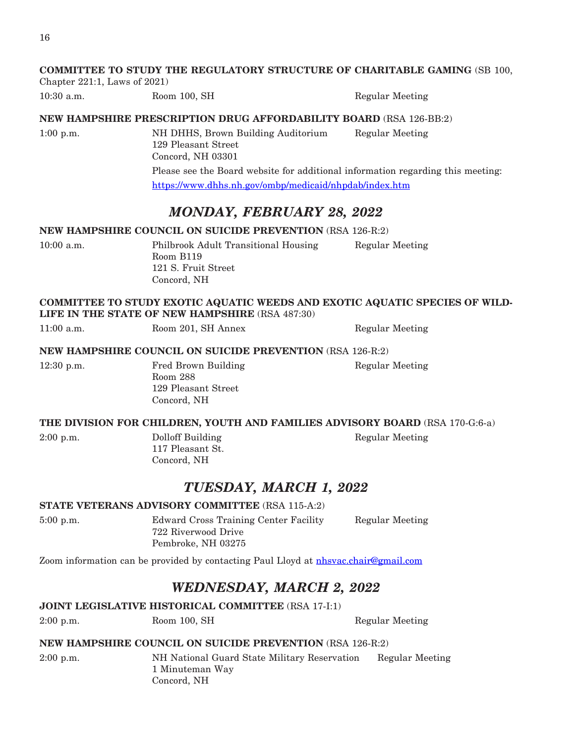### **COMMITTEE TO STUDY THE REGULATORY STRUCTURE OF CHARITABLE GAMING** (SB 100,

Chapter 221:1, Laws of 2021)

10:30 a.m. Room 100, SH Regular Meeting

### **NEW HAMPSHIRE PRESCRIPTION DRUG AFFORDABILITY BOARD** (RSA 126-BB:2)

1:00 p.m. NH DHHS, Brown Building Auditorium Regular Meeting 129 Pleasant Street Concord, NH 03301 Please see the Board website for additional information regarding this meeting: <https://www.dhhs.nh.gov/ombp/medicaid/nhpdab/index.htm>

### *MONDAY, FEBRUARY 28, 2022*

#### **NEW HAMPSHIRE COUNCIL ON SUICIDE PREVENTION** (RSA 126-R:2)

10:00 a.m. Philbrook Adult Transitional Housing Regular Meeting Room B119 121 S. Fruit Street Concord, NH

### **COMMITTEE TO STUDY EXOTIC AQUATIC WEEDS AND EXOTIC AQUATIC SPECIES OF WILD-LIFE IN THE STATE OF NEW HAMPSHIRE** (RSA 487:30)

11:00 a.m. Room 201, SH Annex Regular Meeting

### **NEW HAMPSHIRE COUNCIL ON SUICIDE PREVENTION** (RSA 126-R:2)

12:30 p.m. Fred Brown Building Regular Meeting Room 288 129 Pleasant Street Concord, NH

### **THE DIVISION FOR CHILDREN, YOUTH AND FAMILIES ADVISORY BOARD** (RSA 170-G:6-a)

2:00 p.m. Dolloff Building Regular Meeting 117 Pleasant St. Concord, NH

### *TUESDAY, MARCH 1, 2022*

### **STATE VETERANS ADVISORY COMMITTEE** (RSA 115-A:2)

5:00 p.m. Edward Cross Training Center Facility Regular Meeting 722 Riverwood Drive Pembroke, NH 03275

Zoom information can be provided by contacting Paul Lloyd at [nhsvac.chair@gmail.com](mailto:nhsvac.chair@gmail.com)

### *WEDNESDAY, MARCH 2, 2022*

### **JOINT LEGISLATIVE HISTORICAL COMMITTEE** (RSA 17-I:1)

### **NEW HAMPSHIRE COUNCIL ON SUICIDE PREVENTION** (RSA 126-R:2)

2:00 p.m. NH National Guard State Military Reservation Regular Meeting 1 Minuteman Way Concord, NH

2:00 p.m. Room 100, SH Regular Meeting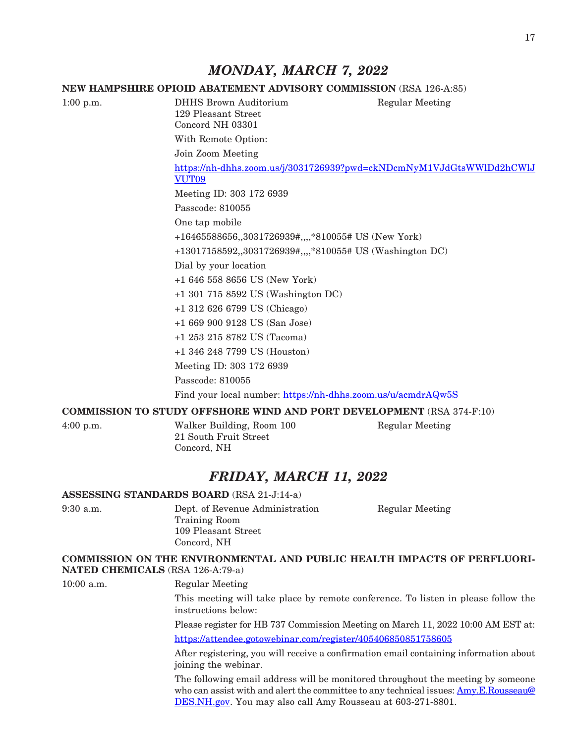### *MONDAY, MARCH 7, 2022*

### **NEW HAMPSHIRE OPIOID ABATEMENT ADVISORY COMMISSION** (RSA 126-A:85)

1:00 p.m. DHHS Brown Auditorium Regular Meeting 129 Pleasant Street Concord NH 03301 With Remote Option: Join Zoom Meeting [https://nh-dhhs.zoom.us/j/3031726939?pwd=ckNDcmNyM1VJdGtsWWlDd2hCWlJ](https://nh-dhhs.zoom.us/j/3031726939?pwd=ckNDcmNyM1VJdGtsWWlDd2hCWlJVUT09) [VUT09](https://nh-dhhs.zoom.us/j/3031726939?pwd=ckNDcmNyM1VJdGtsWWlDd2hCWlJVUT09) Meeting ID: 303 172 6939 Passcode: 810055 One tap mobile +16465588656,,3031726939#,,,,\*810055# US (New York) +13017158592,,3031726939#,,,,\*810055# US (Washington DC) Dial by your location +1 646 558 8656 US (New York) +1 301 715 8592 US (Washington DC) +1 312 626 6799 US (Chicago) +1 669 900 9128 US (San Jose) +1 253 215 8782 US (Tacoma) +1 346 248 7799 US (Houston) Meeting ID: 303 172 6939 Passcode: 810055 Find your local number: <https://nh-dhhs.zoom.us/u/acmdrAQw5S>

### **COMMISSION TO STUDY OFFSHORE WIND AND PORT DEVELOPMENT** (RSA 374-F:10)

4:00 p.m. Walker Building, Room 100 Regular Meeting 21 South Fruit Street Concord, NH

### *FRIDAY, MARCH 11, 2022*

#### **ASSESSING STANDARDS BOARD** (RSA 21-J:14-a)

9:30 a.m. Dept. of Revenue Administration Regular Meeting Training Room 109 Pleasant Street Concord, NH

### **COMMISSION ON THE ENVIRONMENTAL AND PUBLIC HEALTH IMPACTS OF PERFLUORI-NATED CHEMICALS** (RSA 126-A:79-a)

10:00 a.m. Regular Meeting

This meeting will take place by remote conference. To listen in please follow the instructions below:

Please register for HB 737 Commission Meeting on March 11, 2022 10:00 AM EST at: <https://attendee.gotowebinar.com/register/405406850851758605>

After registering, you will receive a confirmation email containing information about joining the webinar.

The following email address will be monitored throughout the meeting by someone who can assist with and alert the committee to any technical issues: [Amy.E.Rousseau@](mailto:Amy.E.Rousseau@DES.NH.gov) [DES.NH.gov](mailto:Amy.E.Rousseau@DES.NH.gov). You may also call Amy Rousseau at 603-271-8801.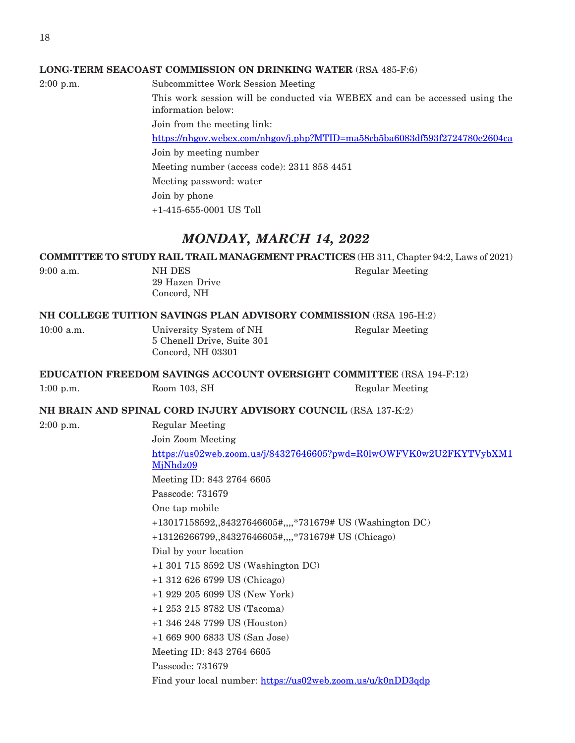#### **LONG-TERM SEACOAST COMMISSION ON DRINKING WATER** (RSA 485-F:6)

2:00 p.m. Subcommittee Work Session Meeting This work session will be conducted via WEBEX and can be accessed using the information below: Join from the meeting link: <https://nhgov.webex.com/nhgov/j.php?MTID=ma58cb5ba6083df593f2724780e2604ca> Join by meeting number Meeting number (access code): 2311 858 4451 Meeting password: water Join by phone +1-415-655-0001 US Toll

### *MONDAY, MARCH 14, 2022*

**COMMITTEE TO STUDY RAIL TRAIL MANAGEMENT PRACTICES** (HB 311, Chapter 94:2, Laws of 2021)

| $9:00$ a.m. |  |  |
|-------------|--|--|
|             |  |  |
|             |  |  |

29 Hazen Drive Concord, NH

NH DES Regular Meeting

**NH COLLEGE TUITION SAVINGS PLAN ADVISORY COMMISSION** (RSA 195-H:2)

5 Chenell Drive, Suite 301 Concord, NH 03301

10:00 a.m. University System of NH Regular Meeting

**EDUCATION FREEDOM SAVINGS ACCOUNT OVERSIGHT COMMITTEE** (RSA 194-F:12)

1:00 p.m. Room 103, SH Regular Meeting

**NH BRAIN AND SPINAL CORD INJURY ADVISORY COUNCIL** (RSA 137-K:2)

2:00 p.m. Regular Meeting

Join Zoom Meeting

[https://us02web.zoom.us/j/84327646605?pwd=R0lwOWFVK0w2U2FKYTVybXM1](https://us02web.zoom.us/j/84327646605?pwd=R0lwOWFVK0w2U2FKYTVybXM1MjNhdz09) [MjNhdz09](https://us02web.zoom.us/j/84327646605?pwd=R0lwOWFVK0w2U2FKYTVybXM1MjNhdz09) Meeting ID: 843 2764 6605 Passcode: 731679 One tap mobile +13017158592,,84327646605#,,,,\*731679# US (Washington DC) +13126266799,,84327646605#,,,,\*731679# US (Chicago) Dial by your location +1 301 715 8592 US (Washington DC) +1 312 626 6799 US (Chicago) +1 929 205 6099 US (New York) +1 253 215 8782 US (Tacoma) +1 346 248 7799 US (Houston) +1 669 900 6833 US (San Jose) Meeting ID: 843 2764 6605 Passcode: 731679

Find your local number: <https://us02web.zoom.us/u/k0nDD3qdp>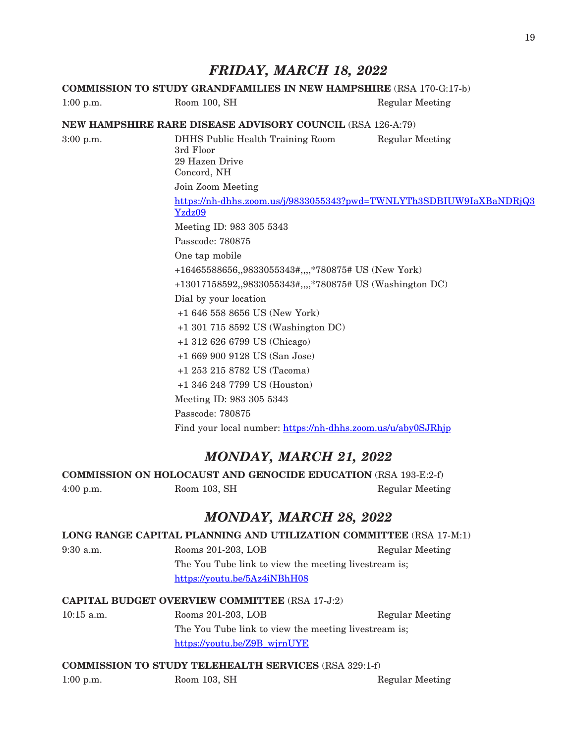### *FRIDAY, MARCH 18, 2022*

### **COMMISSION TO STUDY GRANDFAMILIES IN NEW HAMPSHIRE** (RSA 170-G:17-b) 1:00 p.m. Room 100, SH Regular Meeting **NEW HAMPSHIRE RARE DISEASE ADVISORY COUNCIL** (RSA 126-A:79) 3:00 p.m. DHHS Public Health Training Room Regular Meeting 3rd Floor 29 Hazen Drive Concord, NH Join Zoom Meeting [https://nh-dhhs.zoom.us/j/9833055343?pwd=TWNLYTh3SDBIUW9IaXBaNDRjQ3](https://nh-dhhs.zoom.us/j/9833055343?pwd=TWNLYTh3SDBIUW9IaXBaNDRjQ3Yzdz09) [Yzdz09](https://nh-dhhs.zoom.us/j/9833055343?pwd=TWNLYTh3SDBIUW9IaXBaNDRjQ3Yzdz09) Meeting ID: 983 305 5343 Passcode: 780875 One tap mobile +16465588656,,9833055343#,,,,\*780875# US (New York) +13017158592,,9833055343#,,,,\*780875# US (Washington DC) Dial by your location +1 646 558 8656 US (New York) +1 301 715 8592 US (Washington DC) +1 312 626 6799 US (Chicago) +1 669 900 9128 US (San Jose) +1 253 215 8782 US (Tacoma) +1 346 248 7799 US (Houston) Meeting ID: 983 305 5343 Passcode: 780875 Find your local number: <https://nh-dhhs.zoom.us/u/aby0SJRhjp>

### *MONDAY, MARCH 21, 2022*

**COMMISSION ON HOLOCAUST AND GENOCIDE EDUCATION** (RSA 193-E:2-f)

4:00 p.m. Room 103, SH Regular Meeting

### *MONDAY, MARCH 28, 2022*

### **LONG RANGE CAPITAL PLANNING AND UTILIZATION COMMITTEE** (RSA 17-M:1)

9:30 a.m. Rooms 201-203, LOB Regular Meeting The You Tube link to view the meeting livestream is; <https://youtu.be/5Az4iNBhH08>

### **CAPITAL BUDGET OVERVIEW COMMITTEE** (RSA 17-J:2)

10:15 a.m. Rooms 201-203, LOB Regular Meeting The You Tube link to view the meeting livestream is; [https://youtu.be/Z9B\\_wjrnUYE](https://youtu.be/Z9B_wjrnUYE)

### **COMMISSION TO STUDY TELEHEALTH SERVICES** (RSA 329:1-f)

1:00 p.m. Room 103, SH Regular Meeting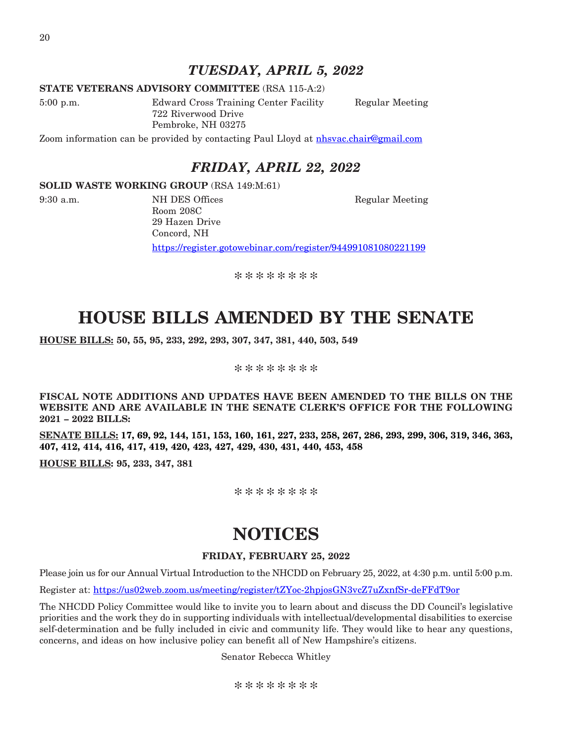### *TUESDAY, APRIL 5, 2022*

### **STATE VETERANS ADVISORY COMMITTEE** (RSA 115-A:2)

5:00 p.m. Edward Cross Training Center Facility Regular Meeting 722 Riverwood Drive Pembroke, NH 03275

Zoom information can be provided by contacting Paul Lloyd at [nhsvac.chair@gmail.com](mailto:nhsvac.chair@gmail.com)

### *FRIDAY, APRIL 22, 2022*

#### **SOLID WASTE WORKING GROUP** (RSA 149:M:61)

Room 208C 29 Hazen Drive Concord, NH

9:30 a.m. NH DES Offices Regular Meeting

https://register.gotowebinar.com/register/944991081080221199

\*\*\*\*\*\*\*\*

## **HOUSE BILLS AMENDED BY THE SENATE**

**HOUSE BILLS: 50, 55, 95, 233, 292, 293, 307, 347, 381, 440, 503, 549**

\*\*\*\*\*\*\*\*

**FISCAL NOTE ADDITIONS AND UPDATES HAVE BEEN AMENDED TO THE BILLS ON THE WEBSITE AND ARE AVAILABLE IN THE SENATE CLERK'S OFFICE FOR THE FOLLOWING 2021 – 2022 BILLS:**

**SENATE BILLS: 17, 69, 92, 144, 151, 153, 160, 161, 227, 233, 258, 267, 286, 293, 299, 306, 319, 346, 363, 407, 412, 414, 416, 417, 419, 420, 423, 427, 429, 430, 431, 440, 453, 458**

**HOUSE BILLS: 95, 233, 347, 381**

\*\*\*\*\*\*\*\*

## **NOTICES**

### **FRIDAY, FEBRUARY 25, 2022**

Please join us for our Annual Virtual Introduction to the NHCDD on February 25, 2022, at 4:30 p.m. until 5:00 p.m.

Register at:<https://us02web.zoom.us/meeting/register/tZYoc-2hpjosGN3vcZ7uZxnfSr-deFFdT9or>

The NHCDD Policy Committee would like to invite you to learn about and discuss the DD Council's legislative priorities and the work they do in supporting individuals with intellectual/developmental disabilities to exercise self-determination and be fully included in civic and community life. They would like to hear any questions, concerns, and ideas on how inclusive policy can benefit all of New Hampshire's citizens.

Senator Rebecca Whitley

\*\*\*\*\*\*\*\*